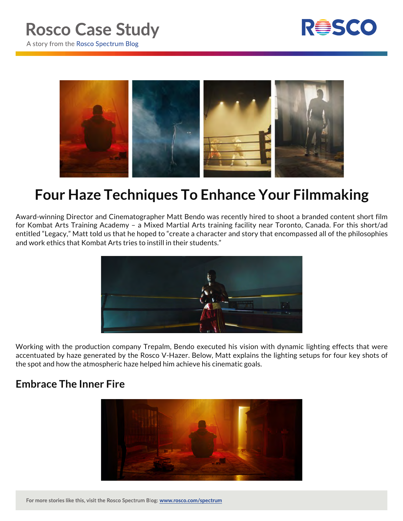



# **Four Haze Techniques To Enhance Your Filmmaking**

Award-winning Director and Cinematographer Matt Bendo was recently hired to shoot a branded content short film for Kombat Arts Training Academy – a Mixed Martial Arts training facility near Toronto, Canada. For this short/ad entitled "Legacy," Matt told us that he hoped to "create a character and story that encompassed all of the philosophies and work ethics that Kombat Arts tries to instill in their students."



Working with the production company Trepalm, Bendo executed his vision with dynamic lighting effects that were accentuated by haze generated by the Rosco V-Hazer. Below, Matt explains the lighting setups for four key shots of the spot and how the atmospheric haze helped him achieve his cinematic goals.

# **Embrace The Inner Fire**



For more stories like this, visit the Rosco Spectrum Blog: www.rosco.com/spectrum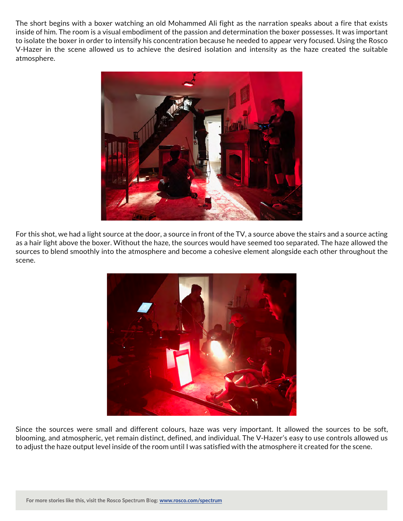The short begins with a boxer watching an old Mohammed Ali fight as the narration speaks about a fire that exists inside of him. The room is a visual embodiment of the passion and determination the boxer possesses. It was important to isolate the boxer in order to intensify his concentration because he needed to appear very focused. Using the Rosco V-Hazer in the scene allowed us to achieve the desired isolation and intensity as the haze created the suitable atmosphere.



For this shot, we had a light source at the door, a source in front of the TV, a source above the stairs and a source acting as a hair light above the boxer. Without the haze, the sources would have seemed too separated. The haze allowed the sources to blend smoothly into the atmosphere and become a cohesive element alongside each other throughout the scene.



Since the sources were small and different colours, haze was very important. It allowed the sources to be soft, blooming, and atmospheric, yet remain distinct, defined, and individual. The V-Hazer's easy to use controls allowed us to adjust the haze output level inside of the room until I was satisfied with the atmosphere it created for the scene.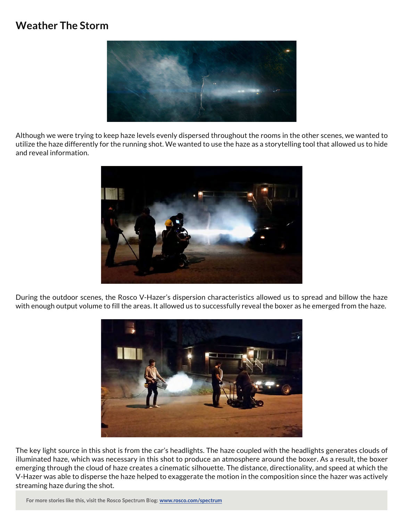### **Weather The Storm**



Although we were trying to keep haze levels evenly dispersed throughout the rooms in the other scenes, we wanted to utilize the haze differently for the running shot. We wanted to use the haze as a storytelling tool that allowed us to hide and reveal information.



During the outdoor scenes, the Rosco V-Hazer's dispersion characteristics allowed us to spread and billow the haze with enough output volume to fill the areas. It allowed us to successfully reveal the boxer as he emerged from the haze.



The key light source in this shot is from the car's headlights. The haze coupled with the headlights generates clouds of illuminated haze, which was necessary in this shot to produce an atmosphere around the boxer. As a result, the boxer emerging through the cloud of haze creates a cinematic silhouette. The distance, directionality, and speed at which the V-Hazer was able to disperse the haze helped to exaggerate the motion in the composition since the hazer was actively streaming haze during the shot.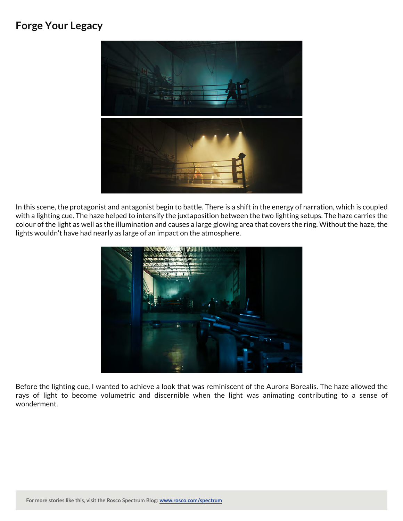#### **Forge Your Legacy**



In this scene, the protagonist and antagonist begin to battle. There is a shift in the energy of narration, which is coupled with a lighting cue. The haze helped to intensify the juxtaposition between the two lighting setups. The haze carries the colour of the light as well as the illumination and causes a large glowing area that covers the ring. Without the haze, the lights wouldn't have had nearly as large of an impact on the atmosphere.



Before the lighting cue, I wanted to achieve a look that was reminiscent of the Aurora Borealis. The haze allowed the rays of light to become volumetric and discernible when the light was animating contributing to a sense of wonderment.